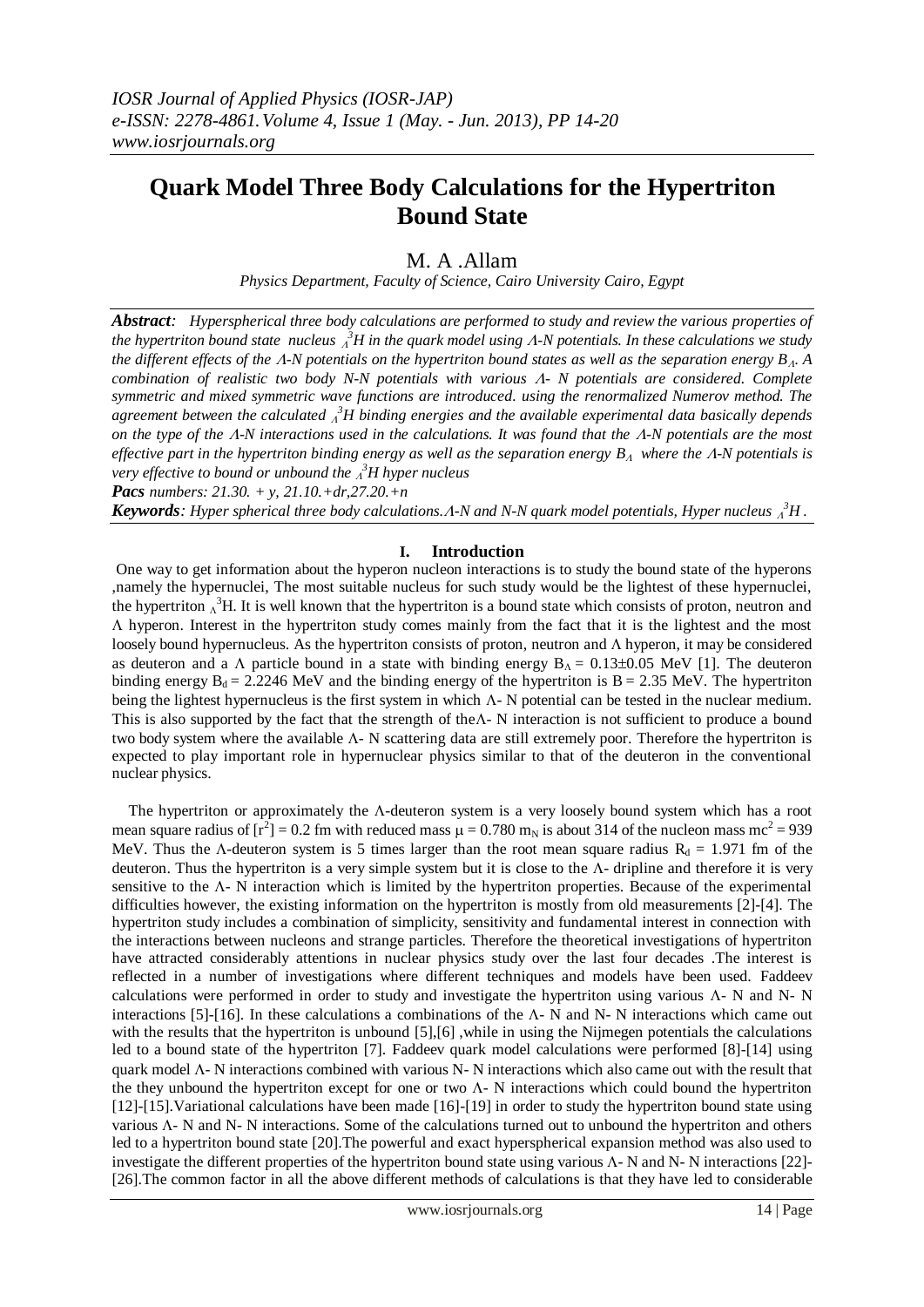# **Quark Model Three Body Calculations for the Hypertriton Bound State**

M. A .Allam

*Physics Department, Faculty of Science, Cairo University Cairo, Egypt*

*Abstract: Hyperspherical three body calculations are performed to study and review the various properties of the hypertriton bound state nucleus <sup>3</sup>H in the quark model using -N potentials. In these calculations we study the different effects of the*  $\Lambda$ *-N potentials on the hypertriton bound states as well as the separation energy*  $B_{\Lambda}$ *. A combination of realistic two body N-N potentials with various - N potentials are considered. Complete symmetric and mixed symmetric wave functions are introduced. using the renormalized Numerov method. The agreement between the calculated <sup>3</sup>H binding energies and the available experimental data basically depends on the type of the -N interactions used in the calculations. It was found that the -N potentials are the most effective part in the hypertriton binding energy as well as the separation energy*  $B_A$  *where the*  $A$ *-N potentials is very effective to bound or unbound the <sup>3</sup>H hyper nucleus*

*Pacs numbers: 21.30. + y, 21.10.+dr,27.20.+n*

*Keywords: Hyper spherical three body calculations.-N and N-N quark model potentials, Hyper nucleus <sup>3</sup>H .*

## **I. Introduction**

One way to get information about the hyperon nucleon interactions is to study the bound state of the hyperons ,namely the hypernuclei, The most suitable nucleus for such study would be the lightest of these hypernuclei, the hypertriton  $\Lambda^3$ H. It is well known that the hypertriton is a bound state which consists of proton, neutron and  $\Lambda$  hyperon. Interest in the hypertriton study comes mainly from the fact that it is the lightest and the most loosely bound hypernucleus. As the hypertriton consists of proton, neutron and hyperon, it may be considered as deuteron and a  $\Lambda$  particle bound in a state with binding energy  $B_{\Lambda} = 0.13\pm0.05$  MeV [1]. The deuteron binding energy  $B_d = 2.2246$  MeV and the binding energy of the hypertriton is  $B = 2.35$  MeV. The hypertriton being the lightest hypernucleus is the first system in which  $\Lambda$ - N potential can be tested in the nuclear medium. This is also supported by the fact that the strength of the $\Lambda$ - N interaction is not sufficient to produce a bound two body system where the available  $\Lambda$ - N scattering data are still extremely poor. Therefore the hypertriton is expected to play important role in hypernuclear physics similar to that of the deuteron in the conventional nuclear physics.

The hypertriton or approximately the  $\Lambda$ -deuteron system is a very loosely bound system which has a root mean square radius of  $[r^2] = 0.2$  fm with reduced mass  $\mu = 0.780$  m<sub>N</sub> is about 314 of the nucleon mass mc<sup>2</sup> = 939 MeV. Thus the  $\Lambda$ -deuteron system is 5 times larger than the root mean square radius  $R_d = 1.971$  fm of the deuteron. Thus the hypertriton is a very simple system but it is close to the  $\Lambda$ - dripline and therefore it is very sensitive to the  $\Lambda$ - N interaction which is limited by the hypertriton properties. Because of the experimental difficulties however, the existing information on the hypertriton is mostly from old measurements [2]-[4]. The hypertriton study includes a combination of simplicity, sensitivity and fundamental interest in connection with the interactions between nucleons and strange particles. Therefore the theoretical investigations of hypertriton have attracted considerably attentions in nuclear physics study over the last four decades .The interest is reflected in a number of investigations where different techniques and models have been used. Faddeev calculations were performed in order to study and investigate the hypertriton using various  $\Lambda$ - N and N- N interactions [5]-[16]. In these calculations a combinations of the  $\Lambda$ - N and N- N interactions which came out with the results that the hypertriton is unbound  $[5],[6]$ , while in using the Nijmegen potentials the calculations led to a bound state of the hypertriton [7]. Faddeev quark model calculations were performed [8]-[14] using quark model  $\Lambda$ - N interactions combined with various N-N interactions which also came out with the result that the they unbound the hypertriton except for one or two  $\Lambda$ - N interactions which could bound the hypertriton [12]-[15].Variational calculations have been made [16]-[19] in order to study the hypertriton bound state using various  $\Lambda$ - N and N- N interactions. Some of the calculations turned out to unbound the hypertriton and others led to a hypertriton bound state [20].The powerful and exact hyperspherical expansion method was also used to investigate the different properties of the hypertriton bound state using various  $\Lambda$ - N and N- N interactions [22]-[26].The common factor in all the above different methods of calculations is that they have led to considerable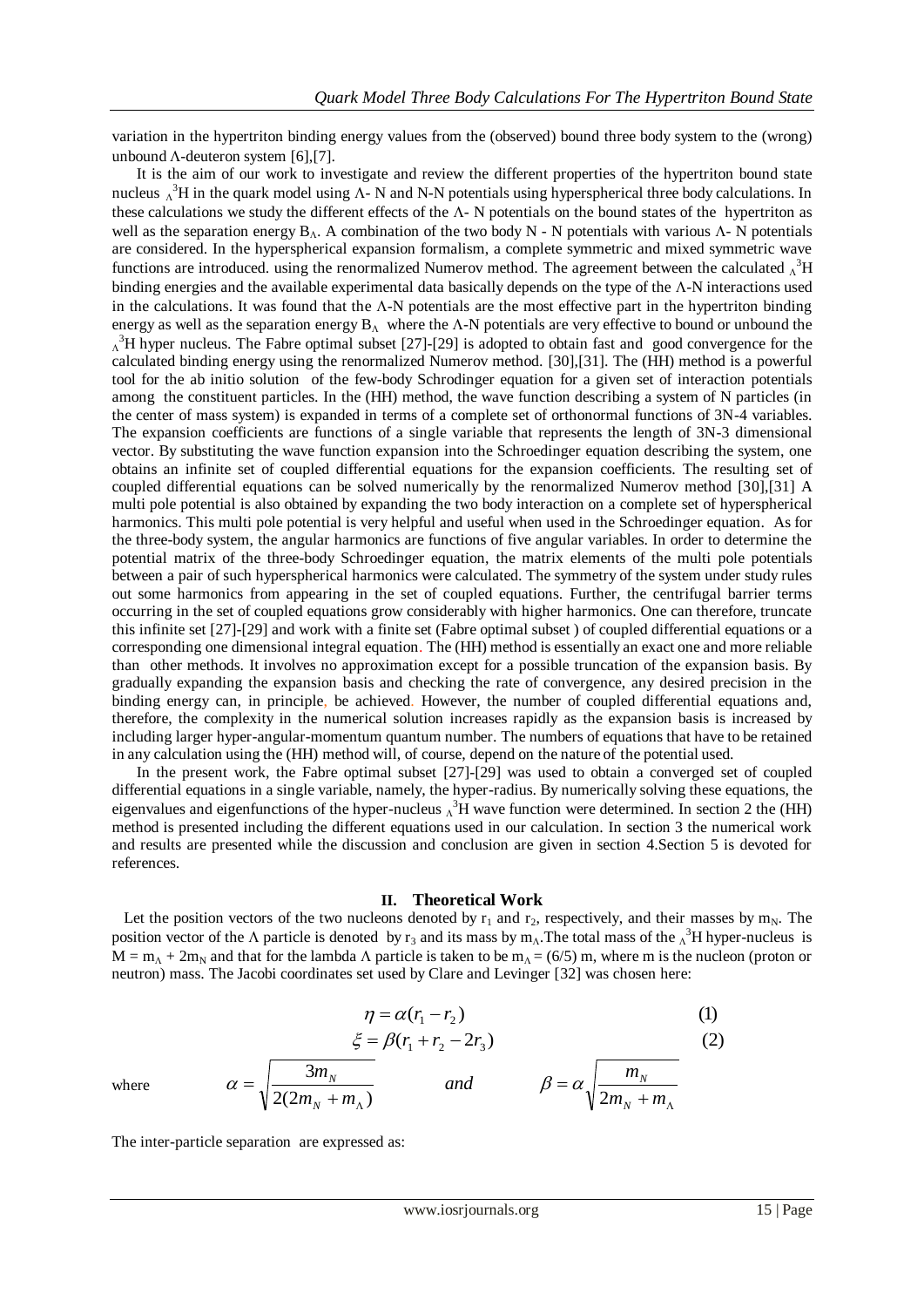variation in the hypertriton binding energy values from the (observed) bound three body system to the (wrong) unbound  $\Lambda$ -deuteron system [6], [7].

 It is the aim of our work to investigate and review the different properties of the hypertriton bound state nucleus  $\Lambda^3$ H in the quark model using  $\Lambda$ - N and N-N potentials using hyperspherical three body calculations. In these calculations we study the different effects of the  $\Lambda$ - N potentials on the bound states of the hypertriton as well as the separation energy  $B_A$ . A combination of the two body N - N potentials with various  $\Lambda$ - N potentials are considered. In the hyperspherical expansion formalism, a complete symmetric and mixed symmetric wave functions are introduced. using the renormalized Numerov method. The agreement between the calculated  $\Lambda^3H$ binding energies and the available experimental data basically depends on the type of the  $\Lambda$ -N interactions used in the calculations. It was found that the  $\Lambda$ -N potentials are the most effective part in the hypertriton binding energy as well as the separation energy  $B_A$  where the  $\Lambda$ -N potentials are very effective to bound or unbound the  $\Lambda^3$ H hyper nucleus. The Fabre optimal subset [27]-[29] is adopted to obtain fast and good convergence for the calculated binding energy using the renormalized Numerov method. [30],[31]. The (HH) method is a powerful tool for the ab initio solution of the few-body Schrodinger equation for a given set of interaction potentials among the constituent particles. In the (HH) method, the wave function describing a system of N particles (in the center of mass system) is expanded in terms of a complete set of orthonormal functions of 3N-4 variables. The expansion coefficients are functions of a single variable that represents the length of 3N-3 dimensional vector. By substituting the wave function expansion into the Schroedinger equation describing the system, one obtains an infinite set of coupled differential equations for the expansion coefficients. The resulting set of coupled differential equations can be solved numerically by the renormalized Numerov method [30],[31] A multi pole potential is also obtained by expanding the two body interaction on a complete set of hyperspherical harmonics. This multi pole potential is very helpful and useful when used in the Schroedinger equation. As for the three-body system, the angular harmonics are functions of five angular variables. In order to determine the potential matrix of the three-body Schroedinger equation, the matrix elements of the multi pole potentials between a pair of such hyperspherical harmonics were calculated. The symmetry of the system under study rules out some harmonics from appearing in the set of coupled equations. Further, the centrifugal barrier terms occurring in the set of coupled equations grow considerably with higher harmonics. One can therefore, truncate this infinite set [27]-[29] and work with a finite set (Fabre optimal subset ) of coupled differential equations or a corresponding one dimensional integral equation. The (HH) method is essentially an exact one and more reliable than other methods. It involves no approximation except for a possible truncation of the expansion basis. By gradually expanding the expansion basis and checking the rate of convergence, any desired precision in the binding energy can, in principle, be achieved. However, the number of coupled differential equations and, therefore, the complexity in the numerical solution increases rapidly as the expansion basis is increased by including larger hyper-angular-momentum quantum number. The numbers of equations that have to be retained in any calculation using the (HH) method will, of course, depend on the nature of the potential used.

 In the present work, the Fabre optimal subset [27]-[29] was used to obtain a converged set of coupled differential equations in a single variable, namely, the hyper-radius. By numerically solving these equations, the eigenvalues and eigenfunctions of the hyper-nucleus  $\Lambda^3$ H wave function were determined. In section 2 the (HH) method is presented including the different equations used in our calculation. In section 3 the numerical work and results are presented while the discussion and conclusion are given in section 4.Section 5 is devoted for references.

#### **II. Theoretical Work**

Let the position vectors of the two nucleons denoted by  $r_1$  and  $r_2$ , respectively, and their masses by m<sub>N</sub>. The position vector of the  $\Lambda$  particle is denoted by  $r_3$  and its mass by  $m_\Lambda$ . The total mass of the  $\Lambda^3$ H hyper-nucleus is  $M = m_0 + 2m_N$  and that for the lambda  $\Lambda$  particle is taken to be  $m_\Lambda = (6/5)$  m, where m is the nucleon (proton or neutron) mass. The Jacobi coordinates set used by Clare and Levinger [32] was chosen here:

$$
\eta = \alpha(r_1 - r_2)
$$
(1)  

$$
\xi = \beta(r_1 + r_2 - 2r_3)
$$
(2)  
where  

$$
\alpha = \sqrt{\frac{3m_N}{2(2m_N + m_\Lambda)}}
$$
 and 
$$
\beta = \alpha \sqrt{\frac{m_N}{2m_N + m_\Lambda}}
$$

where

The inter-particle separation are expressed as: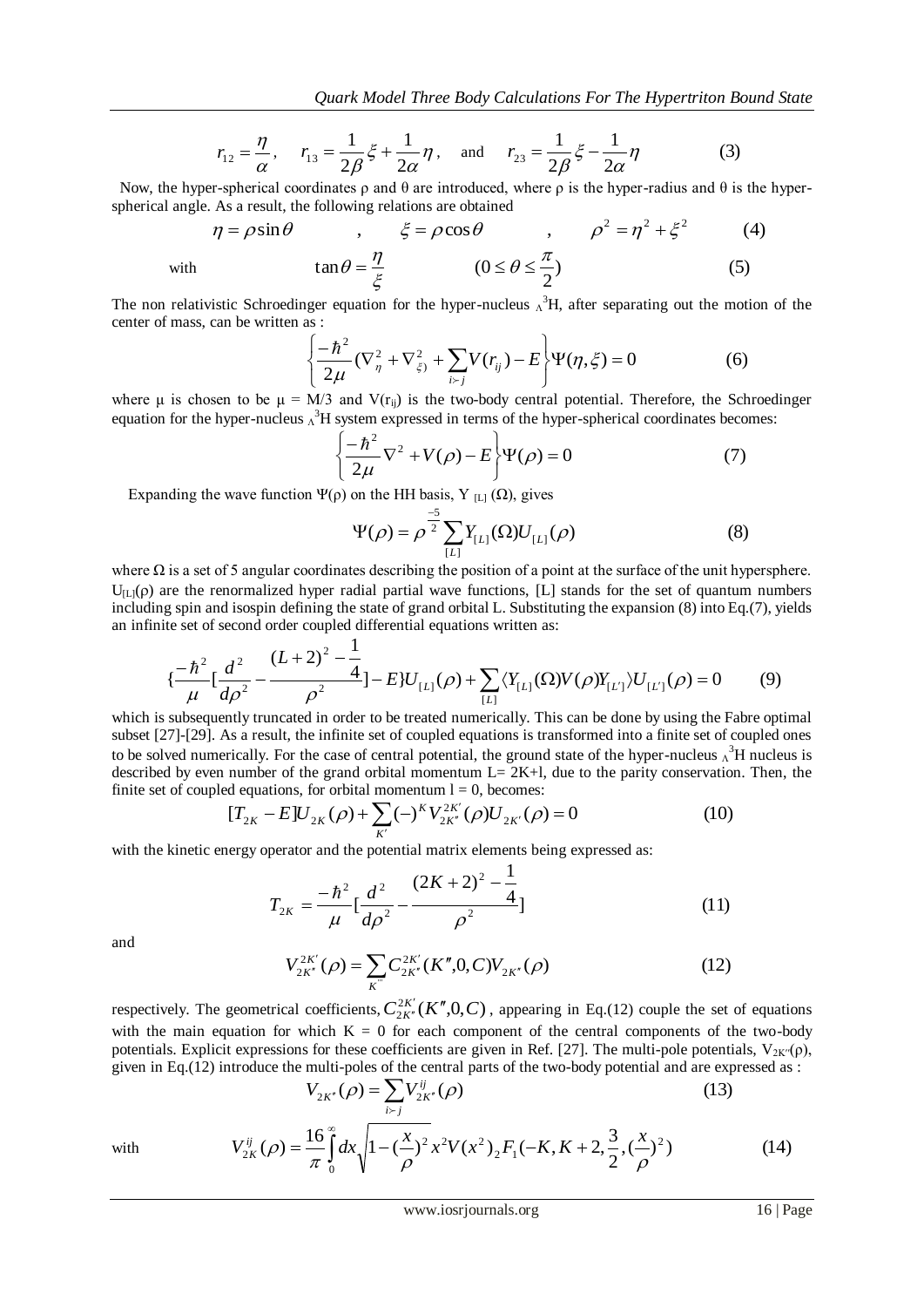$$
r_{12} = \frac{\eta}{\alpha}, \quad r_{13} = \frac{1}{2\beta}\xi + \frac{1}{2\alpha}\eta, \text{ and } r_{23} = \frac{1}{2\beta}\xi - \frac{1}{2\alpha}\eta
$$
 (3)

Now, the hyper-spherical coordinates  $\rho$  and  $\theta$  are introduced, where  $\rho$  is the hyper-radius and  $\theta$  is the hyperspherical angle. As a result, the following relations are obtained

$$
\eta = \rho \sin \theta \qquad , \qquad \xi = \rho \cos \theta \qquad , \qquad \rho^2 = \eta^2 + \xi^2 \qquad (4)
$$
  
with 
$$
\tan \theta = \frac{\eta}{\xi} \qquad (0 \le \theta \le \frac{\pi}{2}) \qquad (5)
$$

The non relativistic Schroedinger equation for the hyper-nucleus  $\Lambda^3$ H, after separating out the motion of the center of mass, can be written as :

$$
\left\{\frac{-\hbar^2}{2\mu}(\nabla^2_{\eta} + \nabla^2_{\xi}) + \sum_{i>j} V(r_{ij}) - E\right\} \Psi(\eta, \xi) = 0
$$
 (6)

where μ is chosen to be  $\mu = M/3$  and  $V(r_{ii})$  is the two-body central potential. Therefore, the Schroedinger equation for the hyper-nucleus  $\Lambda^3$ H system expressed in terms of the hyper-spherical coordinates becomes:

$$
\left\{\frac{-\hbar^2}{2\mu}\nabla^2 + V(\rho) - E\right\}\Psi(\rho) = 0\tag{7}
$$

Expanding the wave function  $\Psi(\rho)$  on the HH basis, Y <sub>[L]</sub> ( $\Omega$ ), gives

$$
\Psi(\rho) = \rho^{\frac{-5}{2}} \sum_{[L]} Y_{[L]}(\Omega) U_{[L]}(\rho)
$$
 (8)

where  $\Omega$  is a set of 5 angular coordinates describing the position of a point at the surface of the unit hypersphere.  $U_{\text{II}}(\rho)$  are the renormalized hyper radial partial wave functions, [L] stands for the set of quantum numbers including spin and isospin defining the state of grand orbital L. Substituting the expansion (8) into Eq.(7), yields an infinite set of second order coupled differential equations written as:

$$
\{\frac{-\hbar^2}{\mu} \left[ \frac{d^2}{d\rho^2} - \frac{(L+2)^2 - \frac{1}{4}}{\rho^2} \right] - E\} U_{[L]}(\rho) + \sum_{[L]} \langle Y_{[L]}(\Omega) V(\rho) Y_{[L']}\rangle U_{[L']}(\rho) = 0 \tag{9}
$$

which is subsequently truncated in order to be treated numerically. This can be done by using the Fabre optimal subset [27]-[29]. As a result, the infinite set of coupled equations is transformed into a finite set of coupled ones to be solved numerically. For the case of central potential, the ground state of the hyper-nucleus  $\Lambda^3$ H nucleus is described by even number of the grand orbital momentum  $L= 2K+1$ , due to the parity conservation. Then, the finite set of coupled equations, for orbital momentum  $l = 0$ , becomes:

$$
[T_{2K} - E]U_{2K}(\rho) + \sum_{K'} (-)^{K} V_{2K'}^{2K'}(\rho) U_{2K'}(\rho) = 0
$$
\n(10)

with the kinetic energy operator and the potential matrix elements being expressed as:

$$
T_{2K} = \frac{-\hbar^2}{\mu} \left[ \frac{d^2}{d\rho^2} - \frac{(2K+2)^2 - \frac{1}{4}}{\rho^2} \right]
$$
(11)

and

$$
V_{2K''}^{2K'}(\rho) = \sum_{K^{''}} C_{2K''}^{2K'}(K'',0,C) V_{2K''}(\rho)
$$
 (12)

respectively. The geometrical coefficients,  $C_{2K'}^{2K'}(K'',0,C)$  $\frac{k}{K'}$ <sub>K</sub><sup>n</sup> (K<sup>n</sup>  $\mathcal{L}_n(K'',0,C)$ , appearing in Eq.(12) couple the set of equations with the main equation for which  $K = 0$  for each component of the central components of the two-body potentials. Explicit expressions for these coefficients are given in Ref. [27]. The multi-pole potentials,  $V_{2K'}(\rho)$ , given in Eq.(12) introduce the multi-poles of the central parts of the two-body potential and are expressed as :

$$
V_{2K'}(\rho) = \sum_{i \succ j} V_{2K'}^{ij}(\rho)
$$
 (13)

with 
$$
V_{2K}^{ij}(\rho) = \frac{16}{\pi} \int_{0}^{\infty} dx \sqrt{1 - \left(\frac{x}{\rho}\right)^2} x^2 V(x^2) {_{2}F_1}(-K, K + 2, \frac{3}{2}, \left(\frac{x}{\rho}\right)^2)
$$
(14)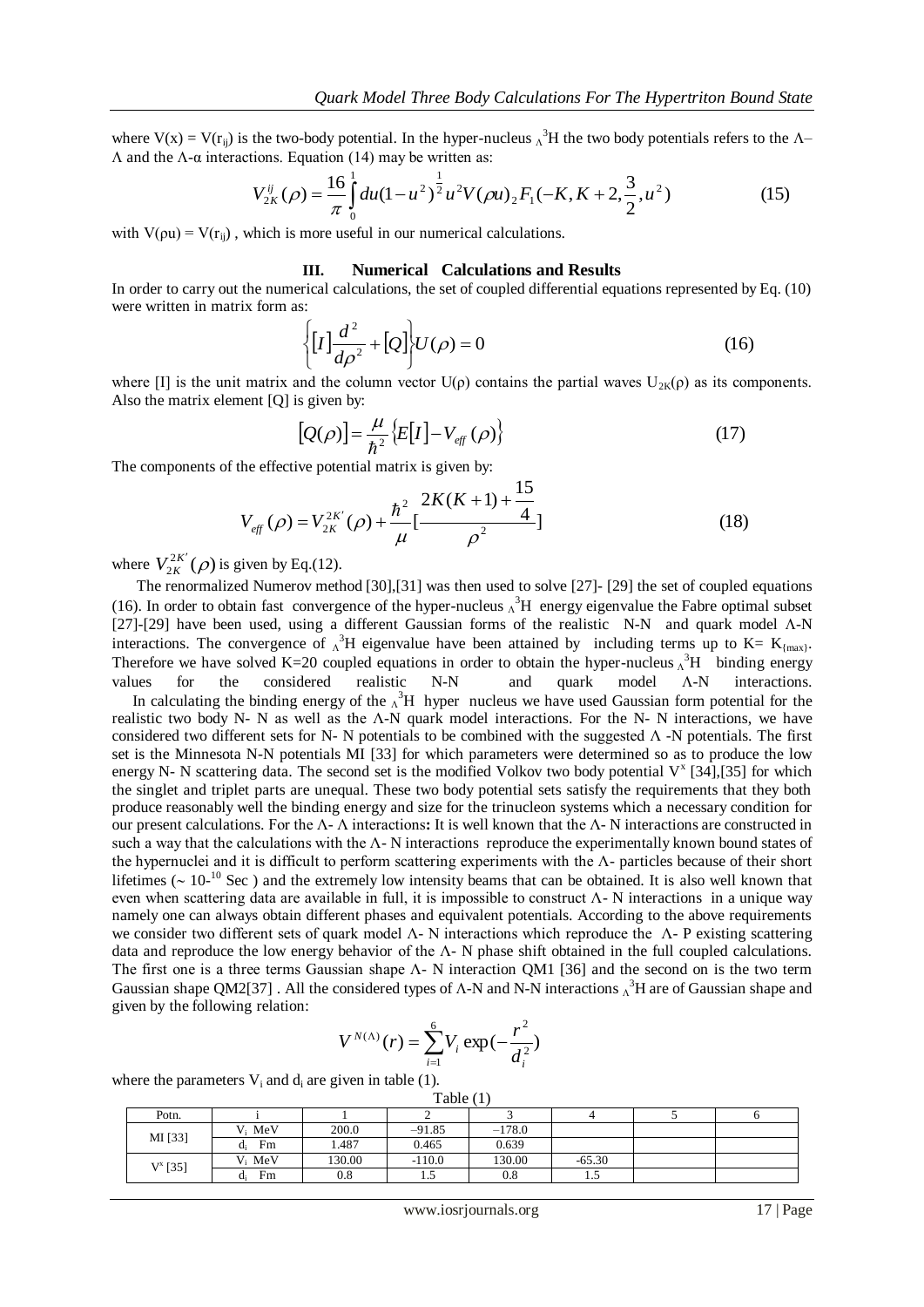where  $V(x) = V(r_{ij})$  is the two-body potential. In the hyper-nucleus  $\Lambda^3 H$  the two body potentials refers to the  $\Lambda$ - $Λ$  and the  $Λ$ -α interactions. Equation (14) may be written as:

$$
V_{2K}^{ij}(\rho) = \frac{16}{\pi} \int_{0}^{1} du (1 - u^2)^{\frac{1}{2}} u^2 V(\rho u) {_{2}F_1}(-K, K + 2, \frac{3}{2}, u^2)
$$
 (15)

with  $V(\rho u) = V(r_{ii})$ , which is more useful in our numerical calculations.

#### **III. Numerical Calculations and Results**

In order to carry out the numerical calculations, the set of coupled differential equations represented by Eq. (10) were written in matrix form as:

$$
\left\{ [I] \frac{d^2}{d\rho^2} + [Q] \right\} U(\rho) = 0 \tag{16}
$$

where [I] is the unit matrix and the column vector  $U(\rho)$  contains the partial waves  $U_{2K}(\rho)$  as its components. Also the matrix element [Q] is given by:

$$
[Q(\rho)] = \frac{\mu}{\hbar^2} \{ E[I] - V_{\text{eff}}(\rho) \}
$$
\n(17)

The components of the effective potential matrix is given by:

$$
V_{\text{eff}}\left(\rho\right) = V_{2K}^{2K'}\left(\rho\right) + \frac{\hbar^2}{\mu} \left[\frac{2K(K+1) + \frac{15}{4}}{\rho^2}\right]
$$
\n(18)

where  $V_{2K}^{2K'}(\rho)$  is given by Eq.(12).

 The renormalized Numerov method [30],[31] was then used to solve [27]- [29] the set of coupled equations (16). In order to obtain fast convergence of the hyper-nucleus  $\Lambda^3$ H energy eigenvalue the Fabre optimal subset [27]-[29] have been used, using a different Gaussian forms of the realistic N-N and quark model  $\Lambda$ -N interactions. The convergence of  $\Lambda^3 H$  eigenvalue have been attained by including terms up to K= K<sub>{max}</sub>. Therefore we have solved K=20 coupled equations in order to obtain the hyper-nucleus  $\Lambda^3$ H binding energy values for the considered realistic  $N-N$  and quark model  $\Lambda-N$  interactions.

In calculating the binding energy of the  $\Lambda^3$ H hyper nucleus we have used Gaussian form potential for the realistic two body N- N as well as the Λ-N quark model interactions. For the N- N interactions, we have considered two different sets for N- N potentials to be combined with the suggested Λ -N potentials. The first set is the Minnesota N-N potentials MI [33] for which parameters were determined so as to produce the low energy N- N scattering data. The second set is the modified Volkov two body potential  $V^x$  [34],[35] for which the singlet and triplet parts are unequal. These two body potential sets satisfy the requirements that they both produce reasonably well the binding energy and size for the trinucleon systems which a necessary condition for our present calculations. For the Λ- Λ interactions**:** It is well known that the Λ- N interactions are constructed in such a way that the calculations with the  $\Lambda$ - N interactions reproduce the experimentally known bound states of the hypernuclei and it is difficult to perform scattering experiments with the Λ- particles because of their short lifetimes ( $\sim 10^{-10}$  Sec) and the extremely low intensity beams that can be obtained. It is also well known that even when scattering data are available in full, it is impossible to construct  $\Lambda$ - N interactions in a unique way namely one can always obtain different phases and equivalent potentials. According to the above requirements we consider two different sets of quark model Λ- N interactions which reproduce the Λ- P existing scattering data and reproduce the low energy behavior of the Λ- N phase shift obtained in the full coupled calculations. The first one is a three terms Gaussian shape Λ- N interaction QM1 [36] and the second on is the two term Gaussian shape QM2[37]. All the considered types of  $\Lambda$ -N and N-N interactions  $\Lambda^3$ H are of Gaussian shape and given by the following relation:

$$
V^{N(\Lambda)}(r) = \sum_{i=1}^{6} V_i \exp(-\frac{r^2}{d_i^2})
$$

where the parameters  $V_i$  and da are given in table (1).

| Table $(1)$ |             |        |          |          |          |  |  |
|-------------|-------------|--------|----------|----------|----------|--|--|
| Potn.       |             |        |          |          |          |  |  |
| MI [33]     | $V_i$ MeV   | 200.0  | $-91.85$ | $-178.0$ |          |  |  |
|             | Fm<br>$d_i$ | 1.487  | 0.465    | 0.639    |          |  |  |
| $V^x$ [35]  | $V_i$ MeV   | 130.00 | $-110.0$ | 130.00   | $-65.30$ |  |  |
|             | Fm<br>d.    | 0.8    | 1.5      | 0.8      | 1.5      |  |  |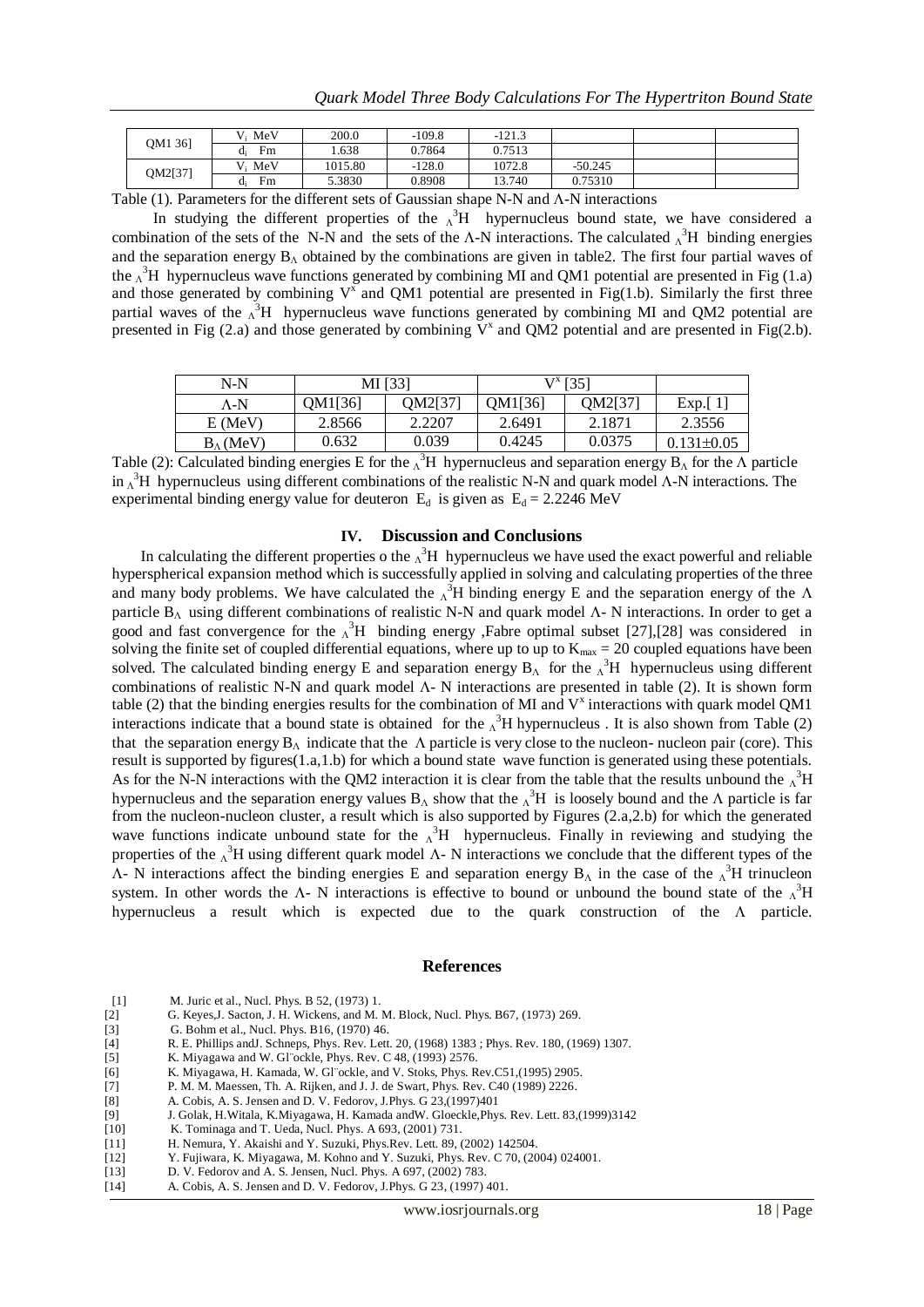| OM1 361 | $V_i$ MeV | 200.0   | $-109.8$ | $-121.3$ |           |  |
|---------|-----------|---------|----------|----------|-----------|--|
|         | Fm        | .638    | 0.7864   | 0.7513   |           |  |
| OM2[37] | MeV<br>V. | 1015.80 | $-128.0$ | 1072.8   | $-50.245$ |  |
|         | Fm        | 5.3830  | 0.8908   | 13.740   | 0.75310   |  |

Table  $(1)$ . Parameters for the different sets of Gaussian shape N-N and  $\Lambda$ -N interactions

In studying the different properties of the  $\lambda^3$ H hypernucleus bound state, we have considered a combination of the sets of the N-N and the sets of the  $\Lambda$ -N interactions. The calculated  $\Lambda^3H$  binding energies and the separation energy  $B_{\Lambda}$  obtained by the combinations are given in table2. The first four partial waves of the  $\Lambda^3$ H hypernucleus wave functions generated by combining MI and QM1 potential are presented in Fig (1.a) and those generated by combining  $V^x$  and QM1 potential are presented in Fig(1.b). Similarly the first three partial waves of the  $\Lambda^3H$  hypernucleus wave functions generated by combining MI and QM2 potential are presented in Fig (2.a) and those generated by combining  $\bar{V}^x$  and QM2 potential and are presented in Fig(2.b).

| $N-N$               | MI [33] |         | $V^x$ [35] |         |                  |
|---------------------|---------|---------|------------|---------|------------------|
| Λ-N                 | OM1[36] | OM2[37] | OM1[36]    | OM2[37] | Exp. $[1]$       |
| $E$ (MeV)           | 2.8566  | 2.2207  | 2.6491     | 2.1871  | 2.3556           |
| $B_{\Lambda}$ (MeV) | 0.632   | 0.039   | 0.4245     | 0.0375  | $0.131 \pm 0.05$ |

Table (2): Calculated binding energies E for the  $\Lambda^3H$  hypernucleus and separation energy  $B_\Lambda$  for the  $\Lambda$  particle in  $\Lambda^3$ H hypernucleus using different combinations of the realistic N-N and quark model  $\Lambda$ -N interactions. The experimental binding energy value for deuteron  $E_d$  is given as  $E_d = 2.2246$  MeV

### **IV. Discussion and Conclusions**

In calculating the different properties o the  $\Lambda^3$ H hypernucleus we have used the exact powerful and reliable hyperspherical expansion method which is successfully applied in solving and calculating properties of the three and many body problems. We have calculated the  $\Lambda^3$ H binding energy E and the separation energy of the  $\Lambda$ particle  $B_{\Lambda}$  using different combinations of realistic N-N and quark model  $\Lambda$ -N interactions. In order to get a good and fast convergence for the  $\Lambda^3H$  binding energy ,Fabre optimal subset [27],[28] was considered in solving the finite set of coupled differential equations, where up to up to  $K_{\text{max}} = 20$  coupled equations have been solved. The calculated binding energy E and separation energy  $B_A$  for the  $\Lambda^3H$  hypernucleus using different combinations of realistic N-N and quark model  $\Lambda$ - N interactions are presented in table (2). It is shown form table (2) that the binding energies results for the combination of MI and  $V^x$  interactions with quark model QM1 interactions indicate that a bound state is obtained for the  $\Lambda^3$ H hypernucleus. It is also shown from Table (2) that the separation energy  $B_\Lambda$  indicate that the  $\Lambda$  particle is very close to the nucleon- nucleon pair (core). This result is supported by figures(1.a,1.b) for which a bound state wave function is generated using these potentials. As for the N-N interactions with the QM2 interaction it is clear from the table that the results unbound the  $\Lambda^3$ H hypernucleus and the separation energy values  $B_\Lambda$  show that the  $\Lambda^3H$  is loosely bound and the  $\Lambda$  particle is far from the nucleon-nucleon cluster, a result which is also supported by Figures (2.a,2.b) for which the generated wave functions indicate unbound state for the  $\Lambda^3H$  hypernucleus. Finally in reviewing and studying the properties of the  $\Lambda^3$ H using different quark model  $\Lambda$ - N interactions we conclude that the different types of the  $\Lambda$ - N interactions affect the binding energies E and separation energy  $B_{\Lambda}$  in the case of the  $\Lambda^3H$  trinucleon system. In other words the  $\Lambda$ - N interactions is effective to bound or unbound the bound state of the  $\Lambda^3H$ hypernucleus a result which is expected due to the quark construction of the  $\Lambda$  particle.

#### **References**

| $\lceil 1 \rceil$ |            | M. Juric et al., Nucl. Phys. B 52, (1973) 1. |   |
|-------------------|------------|----------------------------------------------|---|
| AA                | <b>T</b> C | <b>T TT TT!!!</b>                            | . |

- [2] G. Keyes,J. Sacton, J. H. Wickens, and M. M. Block, Nucl. Phys. B67, (1973) 269.
- [3] G. Bohm et al., Nucl. Phys. B16, (1970) 46.
- [4] R. E. Phillips andJ. Schneps, Phys. Rev. Lett. 20, (1968) 1383 ; Phys. Rev. 180, (1969) 1307.
- [5] K. Miyagawa and W. Gl¨ockle, Phys. Rev. C 48, (1993) 2576.
- [6] K. Miyagawa, H. Kamada, W. Gl¨ockle, and V. Stoks, Phys. Rev.C51,(1995) 2905.
- [7] P. M. M. Maessen, Th. A. Rijken, and J. J. de Swart, Phys. Rev. C40 (1989) 2226.
- [8] A. Cobis, A. S. Jensen and D. V. Fedorov, J.Phys. G 23,(1997)401
- [9] J. Golak, H.Witala, K.Miyagawa, H. Kamada andW. Gloeckle,Phys. Rev. Lett. 83,(1999)3142
- [10] K. Tominaga and T. Ueda, Nucl. Phys. A 693, (2001) 731.
- [11] H. Nemura, Y. Akaishi and Y. Suzuki, Phys.Rev. Lett. 89, (2002) 142504.
- [12] Y. Fujiwara, K. Miyagawa, M. Kohno and Y. Suzuki, Phys. Rev. C 70, (2004) 024001.
- [13] D. V. Fedorov and A. S. Jensen, Nucl. Phys. A 697, (2002) 783.
- [14] A. Cobis, A. S. Jensen and D. V. Fedorov, J.Phys. G 23, (1997) 401.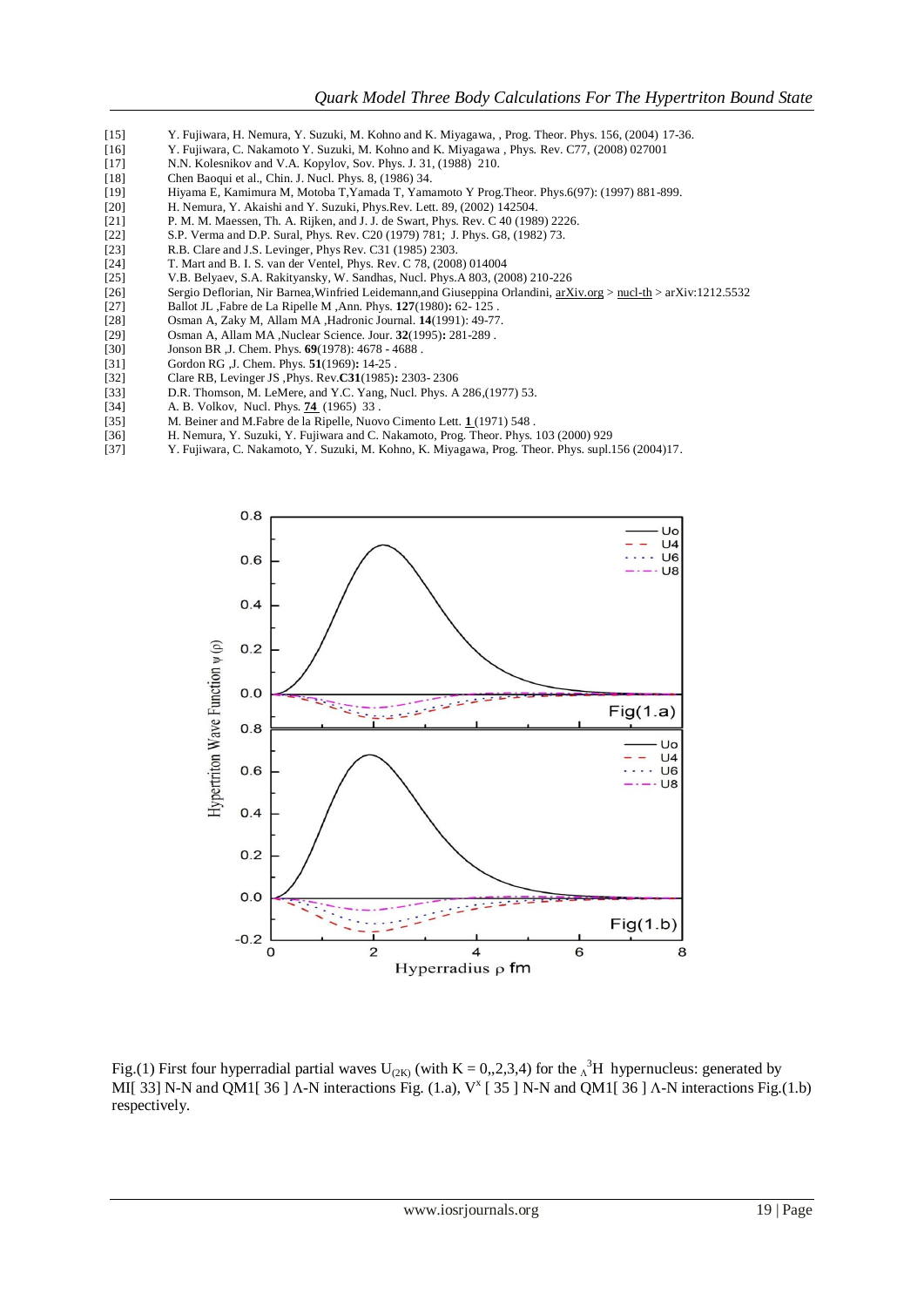- [15] Y. Fujiwara, H. Nemura, Y. Suzuki, M. Kohno and K. Miyagawa, , Prog. Theor. Phys. 156, (2004) 17-36.
- [16] Y. Fujiwara, C. Nakamoto Y. Suzuki, M. Kohno and K. Miyagawa , Phys. Rev. C77, (2008) 027001
- [17] N.N. Kolesnikov and V.A. Kopylov, Sov. Phys. J. 31, (1988) 210.
- [18] Chen Baoqui et al., Chin. J. Nucl. Phys. 8, (1986) 34.
- [19] Hiyama E, Kamimura M, Motoba T,Yamada T, Yamamoto Y Prog.Theor. Phys.6(97): (1997) 881-899.
- [20] H. Nemura, Y. Akaishi and Y. Suzuki, Phys.Rev. Lett. 89, (2002) 142504.
- [21] P. M. M. Maessen, Th. A. Rijken, and J. J. de Swart, Phys. Rev. C 40 (1989) 2226.
- [22] S.P. Verma and D.P. Sural, Phys. Rev. C20 (1979) 781; J. Phys. G8, (1982) 73.<br>
1231 R.B. Clare and J.S. Levinger. Phys Rev. C31 (1985) 2303.
- R.B. Clare and J.S. Levinger, Phys Rev. C31 (1985) 2303.
- [24] T. Mart and B. I. S. van der Ventel, Phys. Rev. C 78, (2008) 014004<br>[25] V.B. Belyaev, S.A. Rakityansky, W. Sandhas, Nucl. Phys. A 803, (20
- [25] V.B. Belyaev, S.A. Rakityansky, W. Sandhas, Nucl. Phys.A 803, (2008) 210-226
- Sergio Deflorian, Nir Barnea, Winfried Leidemann, and Giuseppina Orlandini, [arXiv.org](http://arxiv.org/) > [nucl-th](http://arxiv.org/list/nucl-th/recent) > arXiv:1212.5532<br>[27] Ballot JL , Fabre de La Ripelle M, Ann. Phys. 127(1980): 62-125.
- [27] Ballot JL ,Fabre de La Ripelle M ,Ann. Phys. **127**(1980)**:** 62- 125 .
- [28] Osman A, Zaky M, Allam MA ,Hadronic Journal. **14**(1991): 49-77.
- [29] Osman A, Allam MA ,Nuclear Science. Jour. **32**(1995)**:** 281-289 .
- [30] Jonson BR ,J. Chem. Phys. **69**(1978): 4678 4688 .
- [31] Gordon RG ,J. Chem. Phys. **51**(1969)**:** 14-25 .
- [32] Clare RB, Levinger JS ,Phys. Rev.**C31**(1985)**:** 2303- 2306
- [33] D.R. Thomson, M. LeMere, and Y.C. Yang, Nucl. Phys. A 286,(1977) 53.
- [34] A. B. Volkov, Nucl. Phys. **74** (1965) 33 .
- [35] M. Beiner and M.Fabre de la Ripelle, Nuovo Cimento Lett. **1** (1971) 548 .
- [36] H. Nemura, Y. Suzuki, Y. Fujiwara and C. Nakamoto, Prog. Theor. Phys. 103 (2000) 929
- [37] Y. Fujiwara, C. Nakamoto, Y. Suzuki, M. Kohno, K. Miyagawa, Prog. Theor. Phys. supl.156 (2004)17.



Fig.(1) First four hyperradial partial waves U<sub>(2K)</sub> (with K = 0,,2,3,4) for the  $\Lambda^3$ H hypernucleus: generated by MI[ 33] N-N and QM1[ 36 ]  $\Lambda$ -N interactions Fig. (1.a),  $V^x$  [ 35 ] N-N and QM1[ 36 ]  $\Lambda$ -N interactions Fig.(1.b) respectively.